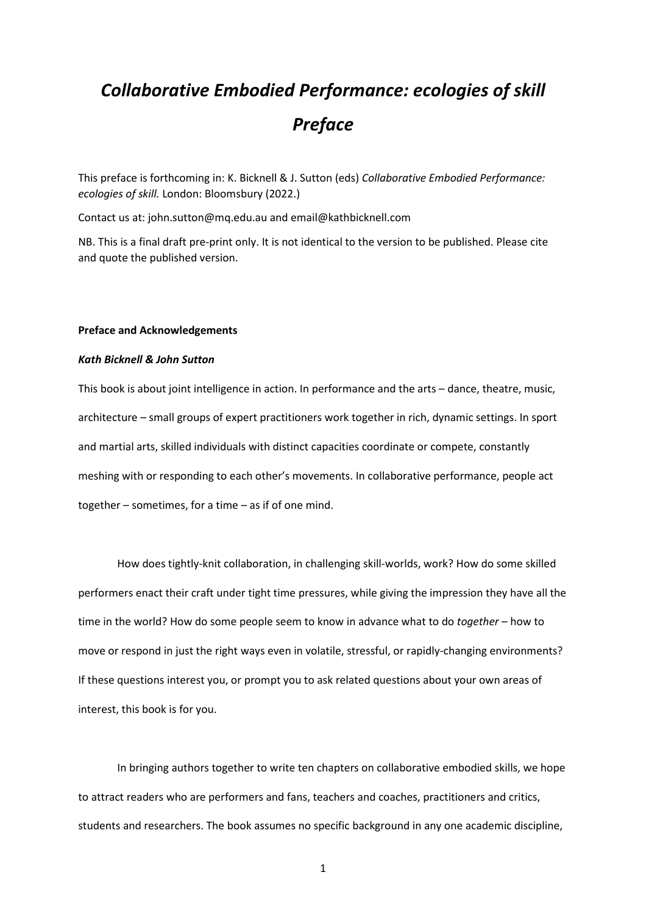## *Collaborative Embodied Performance: ecologies of skill Preface*

This preface is forthcoming in: K. Bicknell & J. Sutton (eds) *Collaborative Embodied Performance: ecologies of skill.* London: Bloomsbury (2022.)

Contact us at: john.sutton@mq.edu.au and email@kathbicknell.com

NB. This is a final draft pre-print only. It is not identical to the version to be published. Please cite and quote the published version.

## **Preface and Acknowledgements**

## *Kath Bicknell & John Sutton*

This book is about joint intelligence in action. In performance and the arts – dance, theatre, music, architecture – small groups of expert practitioners work together in rich, dynamic settings. In sport and martial arts, skilled individuals with distinct capacities coordinate or compete, constantly meshing with or responding to each other's movements. In collaborative performance, people act together – sometimes, for a time – as if of one mind.

How does tightly-knit collaboration, in challenging skill-worlds, work? How do some skilled performers enact their craft under tight time pressures, while giving the impression they have all the time in the world? How do some people seem to know in advance what to do *together* – how to move or respond in just the right ways even in volatile, stressful, or rapidly-changing environments? If these questions interest you, or prompt you to ask related questions about your own areas of interest, this book is for you.

In bringing authors together to write ten chapters on collaborative embodied skills, we hope to attract readers who are performers and fans, teachers and coaches, practitioners and critics, students and researchers. The book assumes no specific background in any one academic discipline,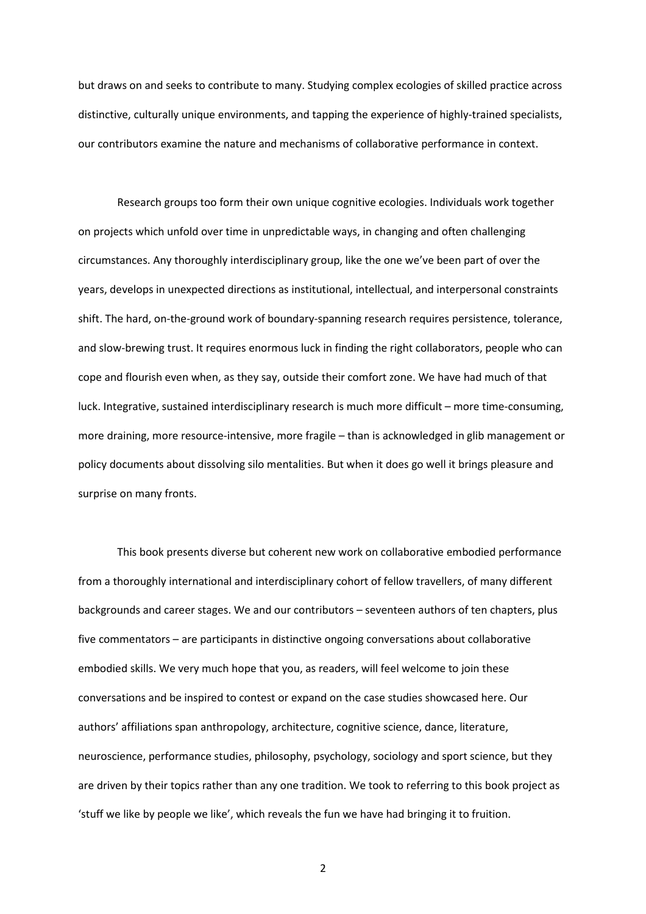but draws on and seeks to contribute to many. Studying complex ecologies of skilled practice across distinctive, culturally unique environments, and tapping the experience of highly-trained specialists, our contributors examine the nature and mechanisms of collaborative performance in context.

Research groups too form their own unique cognitive ecologies. Individuals work together on projects which unfold over time in unpredictable ways, in changing and often challenging circumstances. Any thoroughly interdisciplinary group, like the one we've been part of over the years, develops in unexpected directions as institutional, intellectual, and interpersonal constraints shift. The hard, on-the-ground work of boundary-spanning research requires persistence, tolerance, and slow-brewing trust. It requires enormous luck in finding the right collaborators, people who can cope and flourish even when, as they say, outside their comfort zone. We have had much of that luck. Integrative, sustained interdisciplinary research is much more difficult – more time-consuming, more draining, more resource-intensive, more fragile – than is acknowledged in glib management or policy documents about dissolving silo mentalities. But when it does go well it brings pleasure and surprise on many fronts.

This book presents diverse but coherent new work on collaborative embodied performance from a thoroughly international and interdisciplinary cohort of fellow travellers, of many different backgrounds and career stages. We and our contributors – seventeen authors of ten chapters, plus five commentators – are participants in distinctive ongoing conversations about collaborative embodied skills. We very much hope that you, as readers, will feel welcome to join these conversations and be inspired to contest or expand on the case studies showcased here. Our authors' affiliations span anthropology, architecture, cognitive science, dance, literature, neuroscience, performance studies, philosophy, psychology, sociology and sport science, but they are driven by their topics rather than any one tradition. We took to referring to this book project as 'stuff we like by people we like', which reveals the fun we have had bringing it to fruition.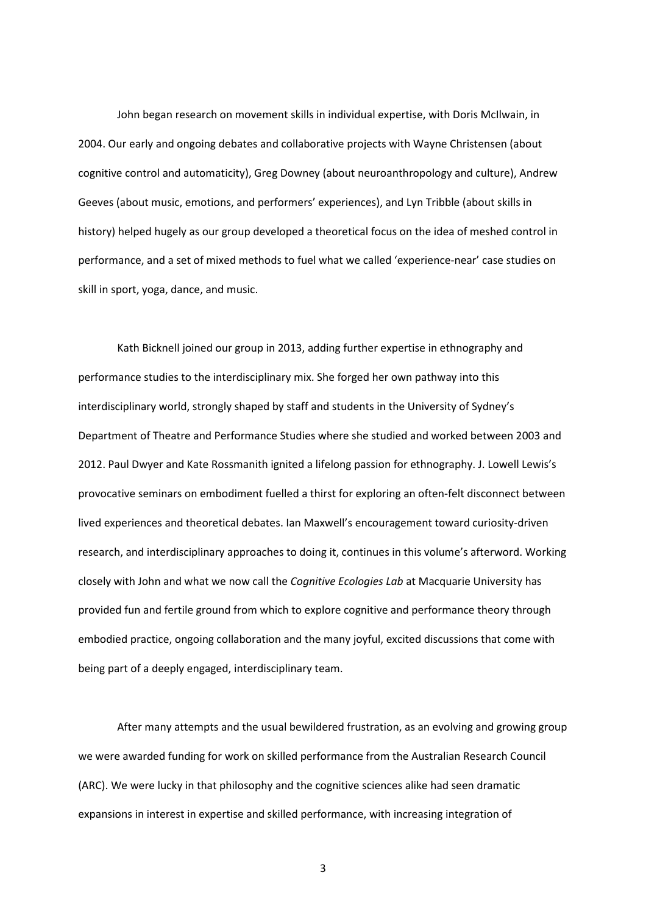John began research on movement skills in individual expertise, with Doris McIlwain, in 2004. Our early and ongoing debates and collaborative projects with Wayne Christensen (about cognitive control and automaticity), Greg Downey (about neuroanthropology and culture), Andrew Geeves (about music, emotions, and performers' experiences), and Lyn Tribble (about skills in history) helped hugely as our group developed a theoretical focus on the idea of meshed control in performance, and a set of mixed methods to fuel what we called 'experience-near' case studies on skill in sport, yoga, dance, and music.

Kath Bicknell joined our group in 2013, adding further expertise in ethnography and performance studies to the interdisciplinary mix. She forged her own pathway into this interdisciplinary world, strongly shaped by staff and students in the University of Sydney's Department of Theatre and Performance Studies where she studied and worked between 2003 and 2012. Paul Dwyer and Kate Rossmanith ignited a lifelong passion for ethnography. J. Lowell Lewis's provocative seminars on embodiment fuelled a thirst for exploring an often-felt disconnect between lived experiences and theoretical debates. Ian Maxwell's encouragement toward curiosity-driven research, and interdisciplinary approaches to doing it, continues in this volume's afterword. Working closely with John and what we now call the *Cognitive Ecologies Lab* at Macquarie University has provided fun and fertile ground from which to explore cognitive and performance theory through embodied practice, ongoing collaboration and the many joyful, excited discussions that come with being part of a deeply engaged, interdisciplinary team.

After many attempts and the usual bewildered frustration, as an evolving and growing group we were awarded funding for work on skilled performance from the Australian Research Council (ARC). We were lucky in that philosophy and the cognitive sciences alike had seen dramatic expansions in interest in expertise and skilled performance, with increasing integration of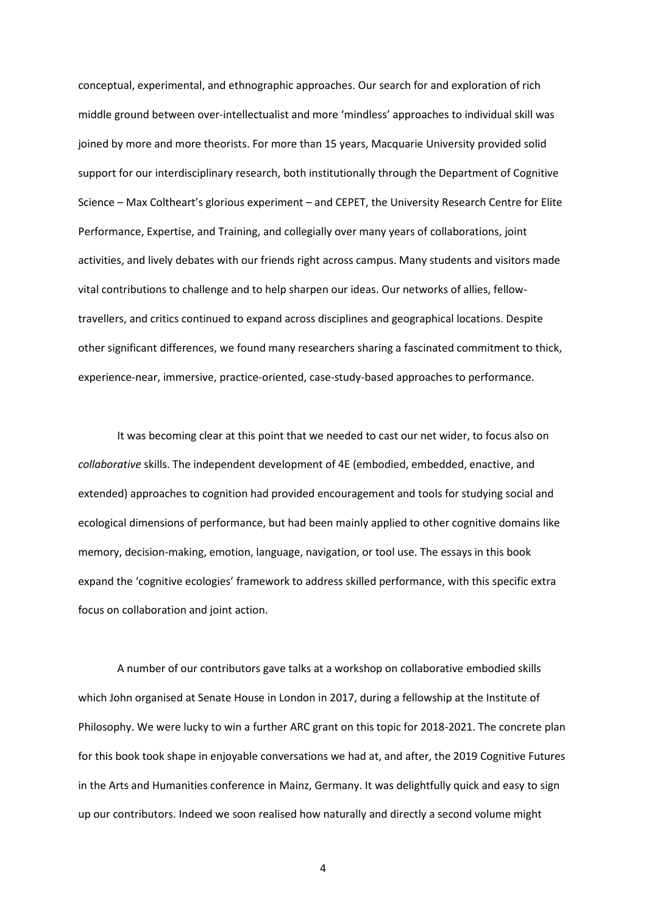conceptual, experimental, and ethnographic approaches. Our search for and exploration of rich middle ground between over-intellectualist and more 'mindless' approaches to individual skill was joined by more and more theorists. For more than 15 years, Macquarie University provided solid support for our interdisciplinary research, both institutionally through the Department of Cognitive Science – Max Coltheart's glorious experiment – and CEPET, the University Research Centre for Elite Performance, Expertise, and Training, and collegially over many years of collaborations, joint activities, and lively debates with our friends right across campus. Many students and visitors made vital contributions to challenge and to help sharpen our ideas. Our networks of allies, fellowtravellers, and critics continued to expand across disciplines and geographical locations. Despite other significant differences, we found many researchers sharing a fascinated commitment to thick, experience-near, immersive, practice-oriented, case-study-based approaches to performance.

It was becoming clear at this point that we needed to cast our net wider, to focus also on *collaborative* skills. The independent development of 4E (embodied, embedded, enactive, and extended) approaches to cognition had provided encouragement and tools for studying social and ecological dimensions of performance, but had been mainly applied to other cognitive domains like memory, decision-making, emotion, language, navigation, or tool use. The essays in this book expand the 'cognitive ecologies' framework to address skilled performance, with this specific extra focus on collaboration and joint action.

A number of our contributors gave talks at a workshop on collaborative embodied skills which John organised at Senate House in London in 2017, during a fellowship at the Institute of Philosophy. We were lucky to win a further ARC grant on this topic for 2018-2021. The concrete plan for this book took shape in enjoyable conversations we had at, and after, the 2019 Cognitive Futures in the Arts and Humanities conference in Mainz, Germany. It was delightfully quick and easy to sign up our contributors. Indeed we soon realised how naturally and directly a second volume might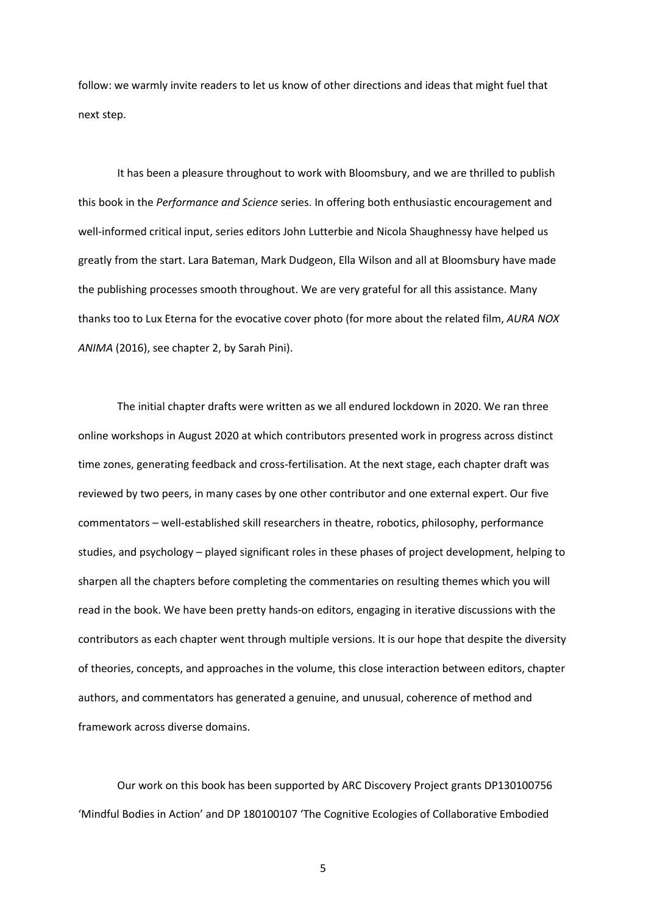follow: we warmly invite readers to let us know of other directions and ideas that might fuel that next step.

It has been a pleasure throughout to work with Bloomsbury, and we are thrilled to publish this book in the *Performance and Science* series. In offering both enthusiastic encouragement and well-informed critical input, series editors John Lutterbie and Nicola Shaughnessy have helped us greatly from the start. Lara Bateman, Mark Dudgeon, Ella Wilson and all at Bloomsbury have made the publishing processes smooth throughout. We are very grateful for all this assistance. Many thanks too to Lux Eterna for the evocative cover photo (for more about the related film, *AURA NOX ANIMA* (2016), see chapter 2, by Sarah Pini).

The initial chapter drafts were written as we all endured lockdown in 2020. We ran three online workshops in August 2020 at which contributors presented work in progress across distinct time zones, generating feedback and cross-fertilisation. At the next stage, each chapter draft was reviewed by two peers, in many cases by one other contributor and one external expert. Our five commentators – well-established skill researchers in theatre, robotics, philosophy, performance studies, and psychology – played significant roles in these phases of project development, helping to sharpen all the chapters before completing the commentaries on resulting themes which you will read in the book. We have been pretty hands-on editors, engaging in iterative discussions with the contributors as each chapter went through multiple versions. It is our hope that despite the diversity of theories, concepts, and approaches in the volume, this close interaction between editors, chapter authors, and commentators has generated a genuine, and unusual, coherence of method and framework across diverse domains.

Our work on this book has been supported by ARC Discovery Project grants DP130100756 'Mindful Bodies in Action' and DP 180100107 'The Cognitive Ecologies of Collaborative Embodied